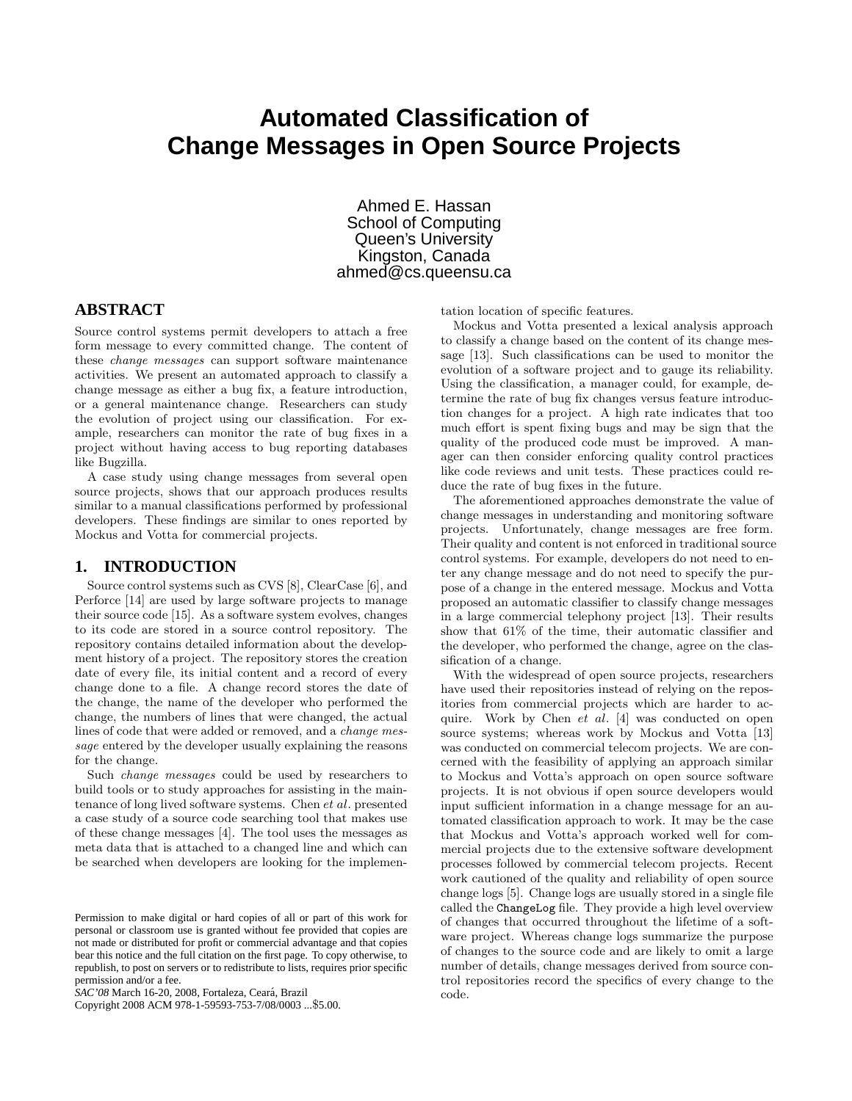# **Automated Classification of Change Messages in Open Source Projects**

Ahmed E. Hassan School of Computing Queen's University Kingston, Canada ahmed@cs.queensu.ca

### **ABSTRACT**

Source control systems permit developers to attach a free form message to every committed change. The content of these change messages can support software maintenance activities. We present an automated approach to classify a change message as either a bug fix, a feature introduction, or a general maintenance change. Researchers can study the evolution of project using our classification. For example, researchers can monitor the rate of bug fixes in a project without having access to bug reporting databases like Bugzilla.

A case study using change messages from several open source projects, shows that our approach produces results similar to a manual classifications performed by professional developers. These findings are similar to ones reported by Mockus and Votta for commercial projects.

### **1. INTRODUCTION**

Source control systems such as CVS [8], ClearCase [6], and Perforce [14] are used by large software projects to manage their source code [15]. As a software system evolves, changes to its code are stored in a source control repository. The repository contains detailed information about the development history of a project. The repository stores the creation date of every file, its initial content and a record of every change done to a file. A change record stores the date of the change, the name of the developer who performed the change, the numbers of lines that were changed, the actual lines of code that were added or removed, and a change message entered by the developer usually explaining the reasons for the change.

Such change messages could be used by researchers to build tools or to study approaches for assisting in the maintenance of long lived software systems. Chen et al. presented a case study of a source code searching tool that makes use of these change messages [4]. The tool uses the messages as meta data that is attached to a changed line and which can be searched when developers are looking for the implemen-

*SAC'08* March 16-20, 2008, Fortaleza, Ceara, Brazil ´

Copyright 2008 ACM 978-1-59593-753-7/08/0003 ...\$5.00.

tation location of specific features.

Mockus and Votta presented a lexical analysis approach to classify a change based on the content of its change message [13]. Such classifications can be used to monitor the evolution of a software project and to gauge its reliability. Using the classification, a manager could, for example, determine the rate of bug fix changes versus feature introduction changes for a project. A high rate indicates that too much effort is spent fixing bugs and may be sign that the quality of the produced code must be improved. A manager can then consider enforcing quality control practices like code reviews and unit tests. These practices could reduce the rate of bug fixes in the future.

The aforementioned approaches demonstrate the value of change messages in understanding and monitoring software projects. Unfortunately, change messages are free form. Their quality and content is not enforced in traditional source control systems. For example, developers do not need to enter any change message and do not need to specify the purpose of a change in the entered message. Mockus and Votta proposed an automatic classifier to classify change messages in a large commercial telephony project [13]. Their results show that 61% of the time, their automatic classifier and the developer, who performed the change, agree on the classification of a change.

With the widespread of open source projects, researchers have used their repositories instead of relying on the repositories from commercial projects which are harder to acquire. Work by Chen et al. [4] was conducted on open source systems; whereas work by Mockus and Votta [13] was conducted on commercial telecom projects. We are concerned with the feasibility of applying an approach similar to Mockus and Votta's approach on open source software projects. It is not obvious if open source developers would input sufficient information in a change message for an automated classification approach to work. It may be the case that Mockus and Votta's approach worked well for commercial projects due to the extensive software development processes followed by commercial telecom projects. Recent work cautioned of the quality and reliability of open source change logs [5]. Change logs are usually stored in a single file called the ChangeLog file. They provide a high level overview of changes that occurred throughout the lifetime of a software project. Whereas change logs summarize the purpose of changes to the source code and are likely to omit a large number of details, change messages derived from source control repositories record the specifics of every change to the code.

Permission to make digital or hard copies of all or part of this work for personal or classroom use is granted without fee provided that copies are not made or distributed for profit or commercial advantage and that copies bear this notice and the full citation on the first page. To copy otherwise, to republish, to post on servers or to redistribute to lists, requires prior specific permission and/or a fee.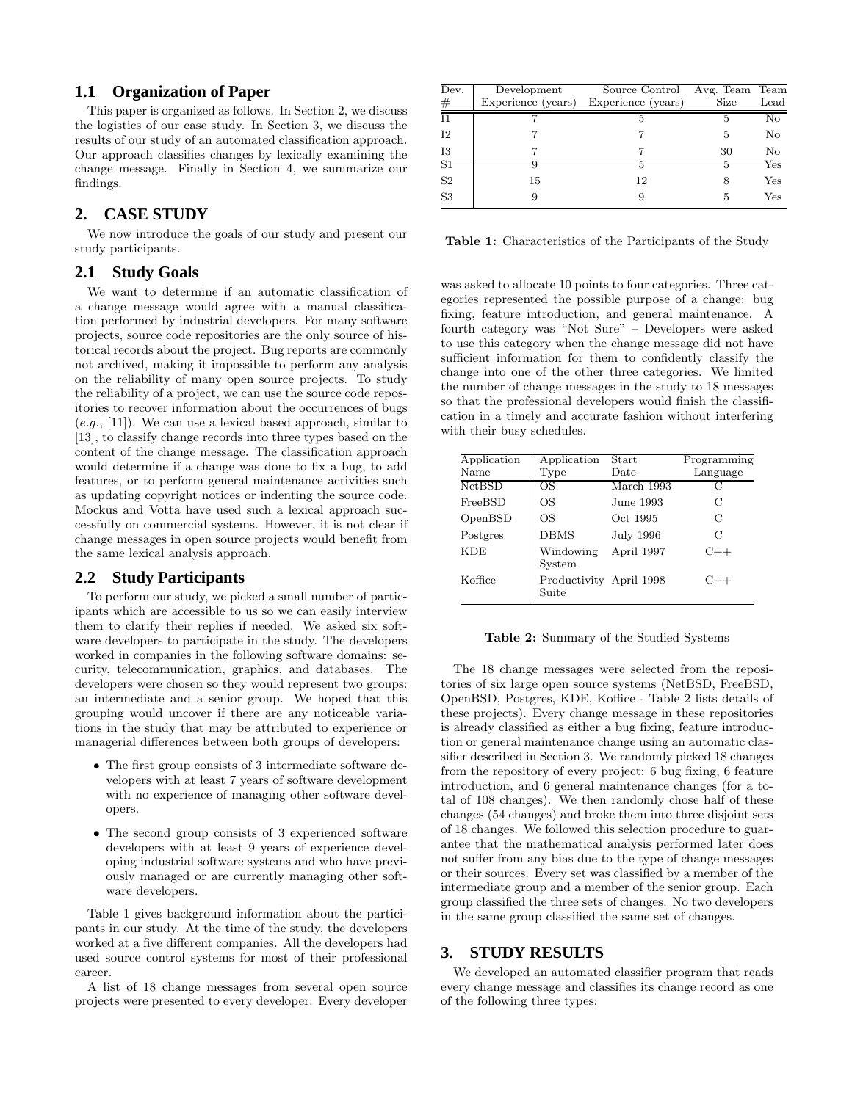### **1.1 Organization of Paper**

This paper is organized as follows. In Section 2, we discuss the logistics of our case study. In Section 3, we discuss the results of our study of an automated classification approach. Our approach classifies changes by lexically examining the change message. Finally in Section 4, we summarize our findings.

### **2. CASE STUDY**

We now introduce the goals of our study and present our study participants.

### **2.1 Study Goals**

We want to determine if an automatic classification of a change message would agree with a manual classification performed by industrial developers. For many software projects, source code repositories are the only source of historical records about the project. Bug reports are commonly not archived, making it impossible to perform any analysis on the reliability of many open source projects. To study the reliability of a project, we can use the source code repositories to recover information about the occurrences of bugs  $(e.g., [11])$ . We can use a lexical based approach, similar to [13], to classify change records into three types based on the content of the change message. The classification approach would determine if a change was done to fix a bug, to add features, or to perform general maintenance activities such as updating copyright notices or indenting the source code. Mockus and Votta have used such a lexical approach successfully on commercial systems. However, it is not clear if change messages in open source projects would benefit from the same lexical analysis approach.

### **2.2 Study Participants**

To perform our study, we picked a small number of participants which are accessible to us so we can easily interview them to clarify their replies if needed. We asked six software developers to participate in the study. The developers worked in companies in the following software domains: security, telecommunication, graphics, and databases. The developers were chosen so they would represent two groups: an intermediate and a senior group. We hoped that this grouping would uncover if there are any noticeable variations in the study that may be attributed to experience or managerial differences between both groups of developers:

- The first group consists of 3 intermediate software developers with at least 7 years of software development with no experience of managing other software developers.
- The second group consists of 3 experienced software developers with at least 9 years of experience developing industrial software systems and who have previously managed or are currently managing other software developers.

Table 1 gives background information about the participants in our study. At the time of the study, the developers worked at a five different companies. All the developers had used source control systems for most of their professional career.

A list of 18 change messages from several open source projects were presented to every developer. Every developer

| Dev.            | Development        | Source Control Avg. Team Team |      |                  |
|-----------------|--------------------|-------------------------------|------|------------------|
| $_{\#}$         | Experience (years) | Experience (years)            | Size | $_{\text{Lead}}$ |
| $\overline{11}$ |                    |                               | 5    | No               |
| 12              |                    |                               | 5    | No               |
| 13              |                    |                               | 30   | No               |
| $\overline{S1}$ | 9                  | 5                             | 5    | $_{\rm Yes}$     |
| S <sub>2</sub>  | 15                 | 12                            |      | $_{\rm Yes}$     |
| S3              |                    |                               | 5.   | Yes              |
|                 |                    |                               |      |                  |

Table 1: Characteristics of the Participants of the Study

was asked to allocate 10 points to four categories. Three categories represented the possible purpose of a change: bug fixing, feature introduction, and general maintenance. A fourth category was "Not Sure" – Developers were asked to use this category when the change message did not have sufficient information for them to confidently classify the change into one of the other three categories. We limited the number of change messages in the study to 18 messages so that the professional developers would finish the classification in a timely and accurate fashion without interfering with their busy schedules.

| Application<br>Name | Application<br>Type              | <b>Start</b><br>Date | Programming<br>Language |
|---------------------|----------------------------------|----------------------|-------------------------|
| <b>NetBSD</b>       | ΟS                               | March 1993           | C                       |
| FreeBSD             | ΟS                               | June 1993            | C                       |
| OpenBSD             | OS                               | Oct 1995             | С                       |
| Postgres            | <b>DBMS</b>                      | July 1996            | C                       |
| <b>KDE</b>          | Windowing<br>System              | April 1997           | $C++$                   |
| Koffice             | Productivity April 1998<br>Suite |                      | $C++$                   |

#### Table 2: Summary of the Studied Systems

The 18 change messages were selected from the repositories of six large open source systems (NetBSD, FreeBSD, OpenBSD, Postgres, KDE, Koffice - Table 2 lists details of these projects). Every change message in these repositories is already classified as either a bug fixing, feature introduction or general maintenance change using an automatic classifier described in Section 3. We randomly picked 18 changes from the repository of every project: 6 bug fixing, 6 feature introduction, and 6 general maintenance changes (for a total of 108 changes). We then randomly chose half of these changes (54 changes) and broke them into three disjoint sets of 18 changes. We followed this selection procedure to guarantee that the mathematical analysis performed later does not suffer from any bias due to the type of change messages or their sources. Every set was classified by a member of the intermediate group and a member of the senior group. Each group classified the three sets of changes. No two developers in the same group classified the same set of changes.

### **3. STUDY RESULTS**

We developed an automated classifier program that reads every change message and classifies its change record as one of the following three types: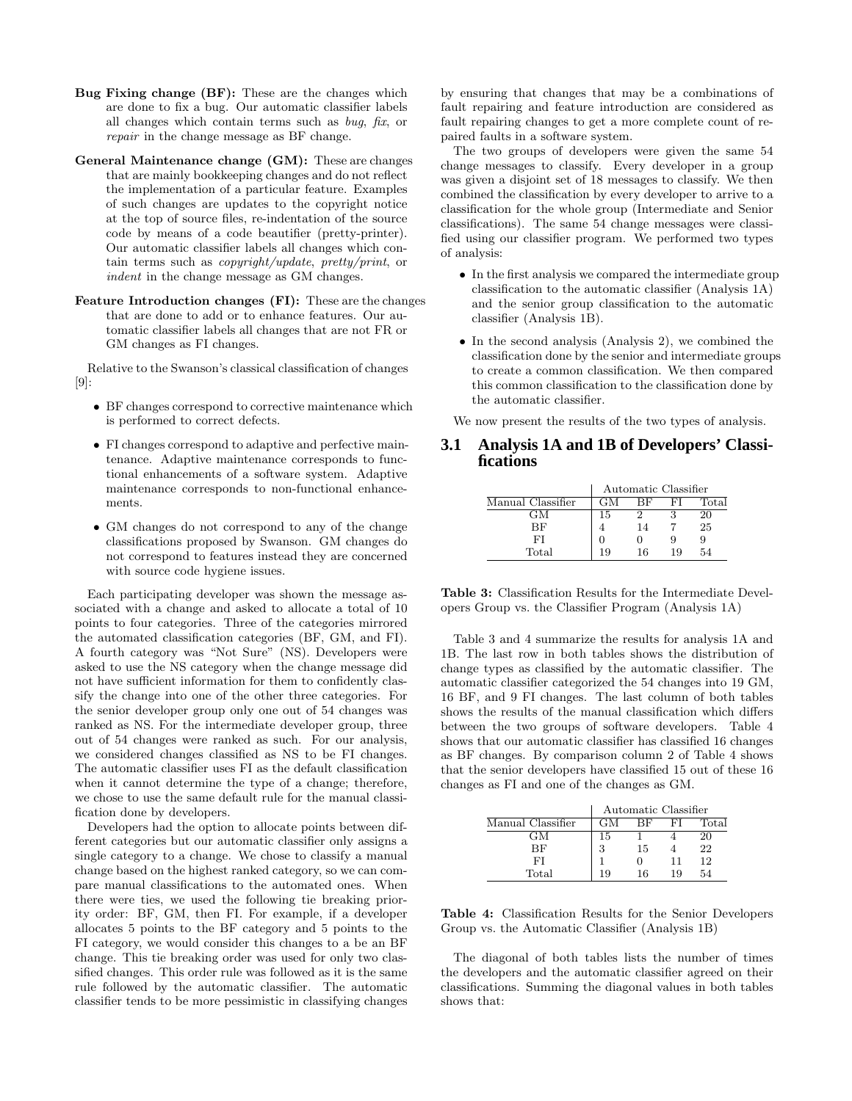- Bug Fixing change (BF): These are the changes which are done to fix a bug. Our automatic classifier labels all changes which contain terms such as bug, fix, or repair in the change message as BF change.
- General Maintenance change (GM): These are changes that are mainly bookkeeping changes and do not reflect the implementation of a particular feature. Examples of such changes are updates to the copyright notice at the top of source files, re-indentation of the source code by means of a code beautifier (pretty-printer). Our automatic classifier labels all changes which contain terms such as copyright/update, pretty/print, or indent in the change message as GM changes.
- Feature Introduction changes (FI): These are the changes that are done to add or to enhance features. Our automatic classifier labels all changes that are not FR or GM changes as FI changes.

Relative to the Swanson's classical classification of changes [9]:

- BF changes correspond to corrective maintenance which is performed to correct defects.
- FI changes correspond to adaptive and perfective maintenance. Adaptive maintenance corresponds to functional enhancements of a software system. Adaptive maintenance corresponds to non-functional enhancements.
- GM changes do not correspond to any of the change classifications proposed by Swanson. GM changes do not correspond to features instead they are concerned with source code hygiene issues.

Each participating developer was shown the message associated with a change and asked to allocate a total of 10 points to four categories. Three of the categories mirrored the automated classification categories (BF, GM, and FI). A fourth category was "Not Sure" (NS). Developers were asked to use the NS category when the change message did not have sufficient information for them to confidently classify the change into one of the other three categories. For the senior developer group only one out of 54 changes was ranked as NS. For the intermediate developer group, three out of 54 changes were ranked as such. For our analysis, we considered changes classified as NS to be FI changes. The automatic classifier uses FI as the default classification when it cannot determine the type of a change; therefore, we chose to use the same default rule for the manual classification done by developers.

Developers had the option to allocate points between different categories but our automatic classifier only assigns a single category to a change. We chose to classify a manual change based on the highest ranked category, so we can compare manual classifications to the automated ones. When there were ties, we used the following tie breaking priority order: BF, GM, then FI. For example, if a developer allocates 5 points to the BF category and 5 points to the FI category, we would consider this changes to a be an BF change. This tie breaking order was used for only two classified changes. This order rule was followed as it is the same rule followed by the automatic classifier. The automatic classifier tends to be more pessimistic in classifying changes

by ensuring that changes that may be a combinations of fault repairing and feature introduction are considered as fault repairing changes to get a more complete count of repaired faults in a software system.

The two groups of developers were given the same 54 change messages to classify. Every developer in a group was given a disjoint set of 18 messages to classify. We then combined the classification by every developer to arrive to a classification for the whole group (Intermediate and Senior classifications). The same 54 change messages were classified using our classifier program. We performed two types of analysis:

- In the first analysis we compared the intermediate group classification to the automatic classifier (Analysis 1A) and the senior group classification to the automatic classifier (Analysis 1B).
- In the second analysis (Analysis 2), we combined the classification done by the senior and intermediate groups to create a common classification. We then compared this common classification to the classification done by the automatic classifier.

We now present the results of the two types of analysis.

### **3.1 Analysis 1A and 1B of Developers' Classifications**

|                   | Automatic Classifier |    |    |       |
|-------------------|----------------------|----|----|-------|
| Manual Classifier | GМ                   | ВF | FТ | Total |
| GМ                | 15                   |    | З  | 20    |
| BF                |                      | 14 |    | 25    |
| FI                |                      |    |    | 9     |
| Total             | 19                   | 16 | 19 | 54    |

Table 3: Classification Results for the Intermediate Developers Group vs. the Classifier Program (Analysis 1A)

Table 3 and 4 summarize the results for analysis 1A and 1B. The last row in both tables shows the distribution of change types as classified by the automatic classifier. The automatic classifier categorized the 54 changes into 19 GM, 16 BF, and 9 FI changes. The last column of both tables shows the results of the manual classification which differs between the two groups of software developers. Table 4 shows that our automatic classifier has classified 16 changes as BF changes. By comparison column 2 of Table 4 shows that the senior developers have classified 15 out of these 16 changes as FI and one of the changes as GM.

|                   | Automatic Classifier |    |    |       |
|-------------------|----------------------|----|----|-------|
| Manual Classifier | GM                   | ВF | FI | Total |
| GМ                | 15                   |    |    | 20    |
| ВF                | 3                    | 15 |    | 22    |
| FI                |                      |    |    | 12    |
| Total             | 19                   | 16 | 19 | 54    |

Table 4: Classification Results for the Senior Developers Group vs. the Automatic Classifier (Analysis 1B)

The diagonal of both tables lists the number of times the developers and the automatic classifier agreed on their classifications. Summing the diagonal values in both tables shows that: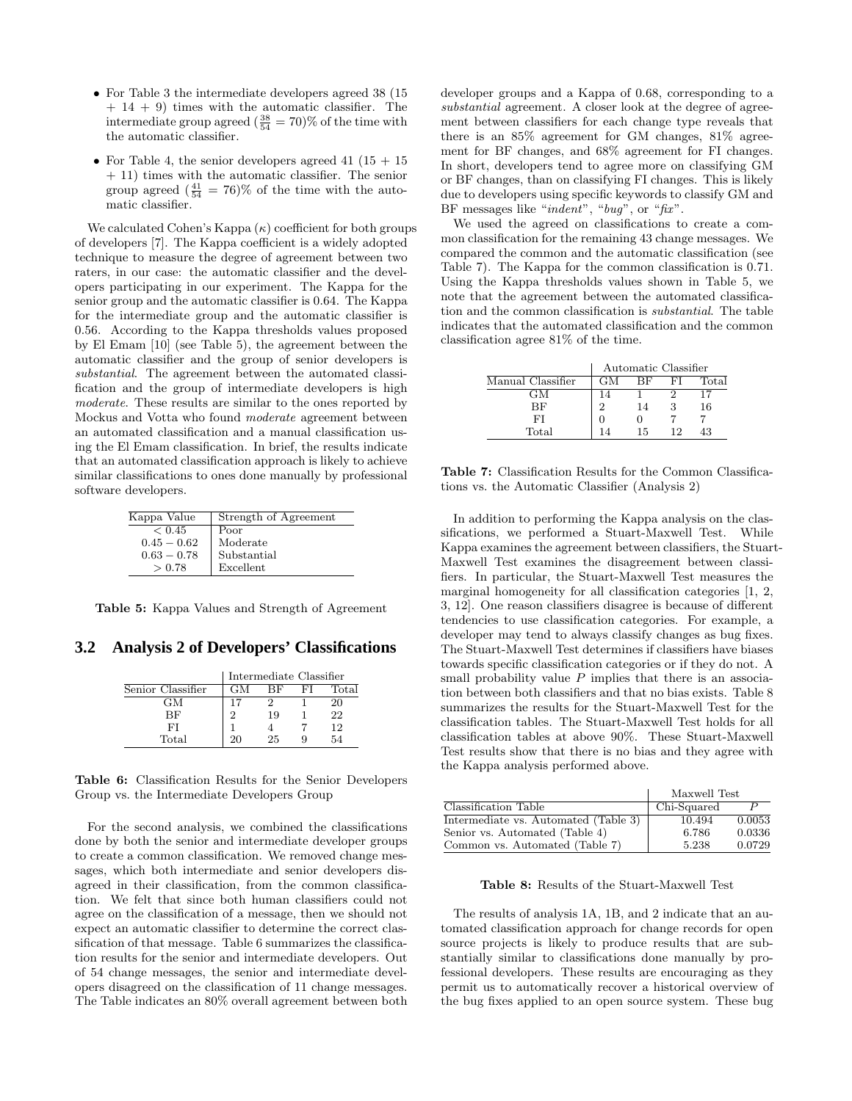- For Table 3 the intermediate developers agreed 38 (15) + 14 + 9) times with the automatic classifier. The intermediate group agreed  $(\frac{38}{54} = 70)$ % of the time with the automatic classifier.
- For Table 4, the senior developers agreed 41 ( $15 + 15$ ) + 11) times with the automatic classifier. The senior group agreed  $(\frac{41}{54} = 76)\%$  of the time with the automatic classifier.

We calculated Cohen's Kappa  $(\kappa)$  coefficient for both groups of developers [7]. The Kappa coefficient is a widely adopted technique to measure the degree of agreement between two raters, in our case: the automatic classifier and the developers participating in our experiment. The Kappa for the senior group and the automatic classifier is 0.64. The Kappa for the intermediate group and the automatic classifier is 0.56. According to the Kappa thresholds values proposed by El Emam [10] (see Table 5), the agreement between the automatic classifier and the group of senior developers is substantial. The agreement between the automated classification and the group of intermediate developers is high moderate. These results are similar to the ones reported by Mockus and Votta who found moderate agreement between an automated classification and a manual classification using the El Emam classification. In brief, the results indicate that an automated classification approach is likely to achieve similar classifications to ones done manually by professional software developers.

| Kappa Value      | Strength of Agreement |
|------------------|-----------------------|
| ${}_{\leq 0.45}$ | Poor                  |
| $0.45 - 0.62$    | Moderate              |
| $0.63 - 0.78$    | Substantial           |
| > 0.78           | Excellent             |

Table 5: Kappa Values and Strength of Agreement

**3.2 Analysis 2 of Developers' Classifications**

|                   | Intermediate Classifier |    |    |       |
|-------------------|-------------------------|----|----|-------|
| Senior Classifier | GМ                      | ВF | FТ | Total |
| GМ                |                         |    |    | 20    |
| ВF                | 2                       | 19 |    | 22    |
| FI                |                         |    |    | 12    |
| Total             | 20.                     | 25 | 9  | 54    |

Table 6: Classification Results for the Senior Developers Group vs. the Intermediate Developers Group

For the second analysis, we combined the classifications done by both the senior and intermediate developer groups to create a common classification. We removed change messages, which both intermediate and senior developers disagreed in their classification, from the common classification. We felt that since both human classifiers could not agree on the classification of a message, then we should not expect an automatic classifier to determine the correct classification of that message. Table 6 summarizes the classification results for the senior and intermediate developers. Out of 54 change messages, the senior and intermediate developers disagreed on the classification of 11 change messages. The Table indicates an 80% overall agreement between both

developer groups and a Kappa of 0.68, corresponding to a substantial agreement. A closer look at the degree of agreement between classifiers for each change type reveals that there is an 85% agreement for GM changes, 81% agreement for BF changes, and 68% agreement for FI changes. In short, developers tend to agree more on classifying GM or BF changes, than on classifying FI changes. This is likely due to developers using specific keywords to classify GM and BF messages like "indent", "bug", or "fix".

We used the agreed on classifications to create a common classification for the remaining 43 change messages. We compared the common and the automatic classification (see Table 7). The Kappa for the common classification is 0.71. Using the Kappa thresholds values shown in Table 5, we note that the agreement between the automated classification and the common classification is substantial. The table indicates that the automated classification and the common classification agree 81% of the time.

|                   | Automatic Classifier |    |    |       |
|-------------------|----------------------|----|----|-------|
| Manual Classifier | GM                   | ВF | ыı | Total |
| GМ                | 14                   |    |    |       |
| ВF                | $\overline{2}$       | 14 | З  | 16    |
| FI                |                      |    |    |       |
| Total             | 14                   | 15 | 19 | 43    |

Table 7: Classification Results for the Common Classifications vs. the Automatic Classifier (Analysis 2)

In addition to performing the Kappa analysis on the classifications, we performed a Stuart-Maxwell Test. While Kappa examines the agreement between classifiers, the Stuart-Maxwell Test examines the disagreement between classifiers. In particular, the Stuart-Maxwell Test measures the marginal homogeneity for all classification categories [1, 2, 3, 12]. One reason classifiers disagree is because of different tendencies to use classification categories. For example, a developer may tend to always classify changes as bug fixes. The Stuart-Maxwell Test determines if classifiers have biases towards specific classification categories or if they do not. A small probability value  $P$  implies that there is an association between both classifiers and that no bias exists. Table 8 summarizes the results for the Stuart-Maxwell Test for the classification tables. The Stuart-Maxwell Test holds for all classification tables at above 90%. These Stuart-Maxwell Test results show that there is no bias and they agree with the Kappa analysis performed above.

|                                      | Maxwell Test |        |  |
|--------------------------------------|--------------|--------|--|
| Classification Table                 | Chi-Squared  |        |  |
| Intermediate vs. Automated (Table 3) | 10.494       | 0.0053 |  |
| Senior vs. Automated (Table 4)       | 6.786        | 0.0336 |  |
| Common vs. Automated (Table 7)       | 5.238        | 0.0729 |  |

#### Table 8: Results of the Stuart-Maxwell Test

The results of analysis 1A, 1B, and 2 indicate that an automated classification approach for change records for open source projects is likely to produce results that are substantially similar to classifications done manually by professional developers. These results are encouraging as they permit us to automatically recover a historical overview of the bug fixes applied to an open source system. These bug